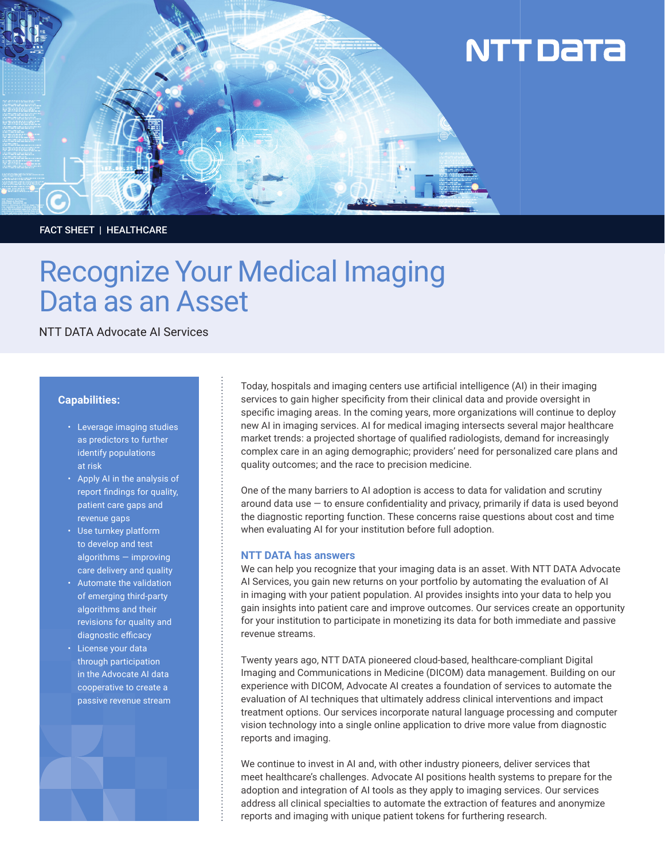

## FACT SHEET | HEALTHCARE

# Recognize Your Medical Imaging Data as an Asset

NTT DATA Advocate AI Services

## **Capabilities:**

- Leverage imaging studies as predictors to further identify populations at risk
- Apply AI in the analysis of report findings for quality, patient care gaps and revenue gaps
- Use turnkey platform to develop and test algorithms — improving care delivery and quality
- Automate the validation of emerging third-party algorithms and their revisions for quality and diagnostic efficacy
- License your data through participation in the Advocate AI data cooperative to create a passive revenue stream



Today, hospitals and imaging centers use artificial intelligence (AI) in their imaging services to gain higher specificity from their clinical data and provide oversight in specific imaging areas. In the coming years, more organizations will continue to deploy new AI in imaging services. AI for medical imaging intersects several major healthcare market trends: a projected shortage of qualified radiologists, demand for increasingly complex care in an aging demographic; providers' need for personalized care plans and quality outcomes; and the race to precision medicine.

One of the many barriers to AI adoption is access to data for validation and scrutiny around data use  $-$  to ensure confidentiality and privacy, primarily if data is used beyond the diagnostic reporting function. These concerns raise questions about cost and time when evaluating AI for your institution before full adoption.

#### **NTT DATA has answers**

We can help you recognize that your imaging data is an asset. With NTT DATA Advocate AI Services, you gain new returns on your portfolio by automating the evaluation of AI in imaging with your patient population. AI provides insights into your data to help you gain insights into patient care and improve outcomes. Our services create an opportunity for your institution to participate in monetizing its data for both immediate and passive revenue streams.

Twenty years ago, NTT DATA pioneered cloud-based, healthcare-compliant Digital Imaging and Communications in Medicine (DICOM) data management. Building on our experience with DICOM, Advocate AI creates a foundation of services to automate the evaluation of AI techniques that ultimately address clinical interventions and impact treatment options. Our services incorporate natural language processing and computer vision technology into a single online application to drive more value from diagnostic reports and imaging.

We continue to invest in AI and, with other industry pioneers, deliver services that meet healthcare's challenges. Advocate AI positions health systems to prepare for the adoption and integration of AI tools as they apply to imaging services. Our services address all clinical specialties to automate the extraction of features and anonymize reports and imaging with unique patient tokens for furthering research.